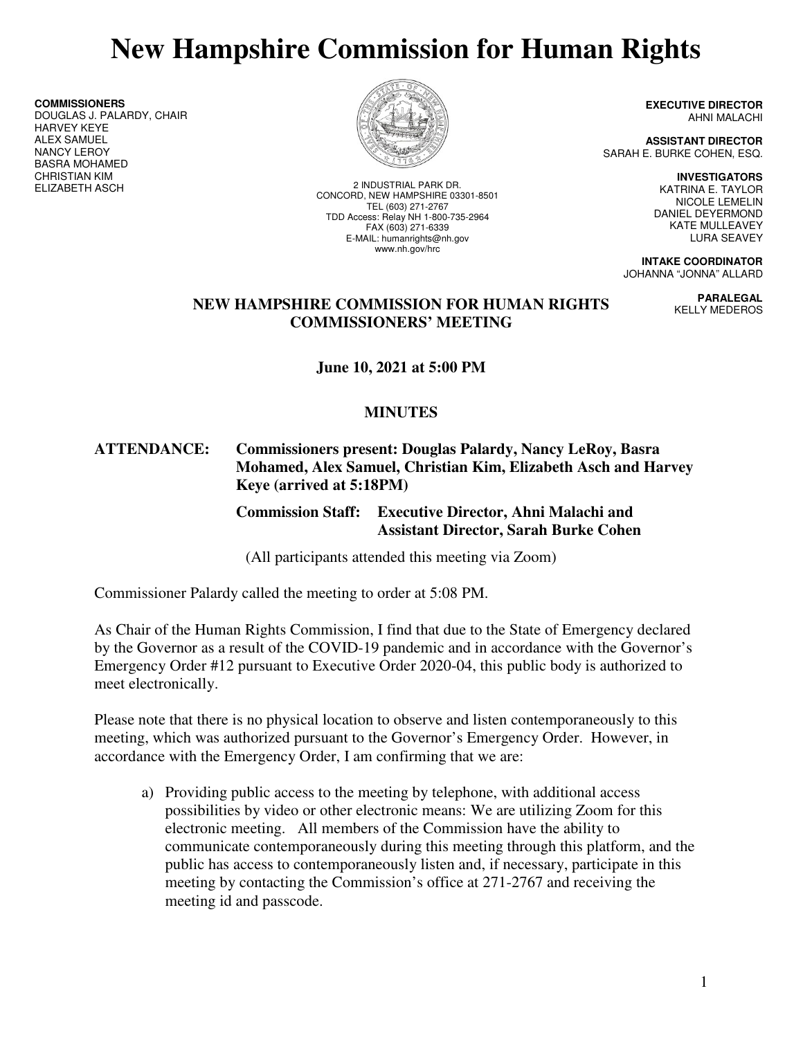# **New Hampshire Commission for Human Rights**

**COMMISSIONERS**  DOUGLAS J. PALARDY, CHAIR HARVEY KEYE ALEX SAMUEL NANCY LEROY BASRA MOHAMED CHRISTIAN KIM<br>ELIZABETH ASCH



2 INDUSTRIAL PARK DR. CONCORD, NEW HAMPSHIRE 03301-8501 TEL (603) 271-2767 TDD Access: Relay NH 1-800-735-2964 FAX (603) 271-6339 E-MAIL: humanrights@nh.gov www.nh.gov/hrc

**EXECUTIVE DIRECTOR** AHNI MALACHI

**ASSISTANT DIRECTOR**  SARAH E. BURKE COHEN, ESQ.

> **INVESTIGATORS**  KATRINA E. TAYLOR NICOLE LEMELIN DANIEL DEYERMOND KATE MULLEAVEY LURA SEAVEY

> > **PARALEGAL**  KELLY MEDEROS

**INTAKE COORDINATOR**  JOHANNA "JONNA" ALLARD

#### **NEW HAMPSHIRE COMMISSION FOR HUMAN RIGHTS COMMISSIONERS' MEETING**

**June 10, 2021 at 5:00 PM** 

# **MINUTES**

#### **ATTENDANCE: Commissioners present: Douglas Palardy, Nancy LeRoy, Basra Mohamed, Alex Samuel, Christian Kim, Elizabeth Asch and Harvey Keye (arrived at 5:18PM)**

 **Commission Staff: Executive Director, Ahni Malachi and Assistant Director, Sarah Burke Cohen** 

(All participants attended this meeting via Zoom)

Commissioner Palardy called the meeting to order at 5:08 PM.

As Chair of the Human Rights Commission, I find that due to the State of Emergency declared by the Governor as a result of the COVID-19 pandemic and in accordance with the Governor's Emergency Order #12 pursuant to Executive Order 2020-04, this public body is authorized to meet electronically.

Please note that there is no physical location to observe and listen contemporaneously to this meeting, which was authorized pursuant to the Governor's Emergency Order. However, in accordance with the Emergency Order, I am confirming that we are:

a) Providing public access to the meeting by telephone, with additional access possibilities by video or other electronic means: We are utilizing Zoom for this electronic meeting. All members of the Commission have the ability to communicate contemporaneously during this meeting through this platform, and the public has access to contemporaneously listen and, if necessary, participate in this meeting by contacting the Commission's office at 271-2767 and receiving the meeting id and passcode.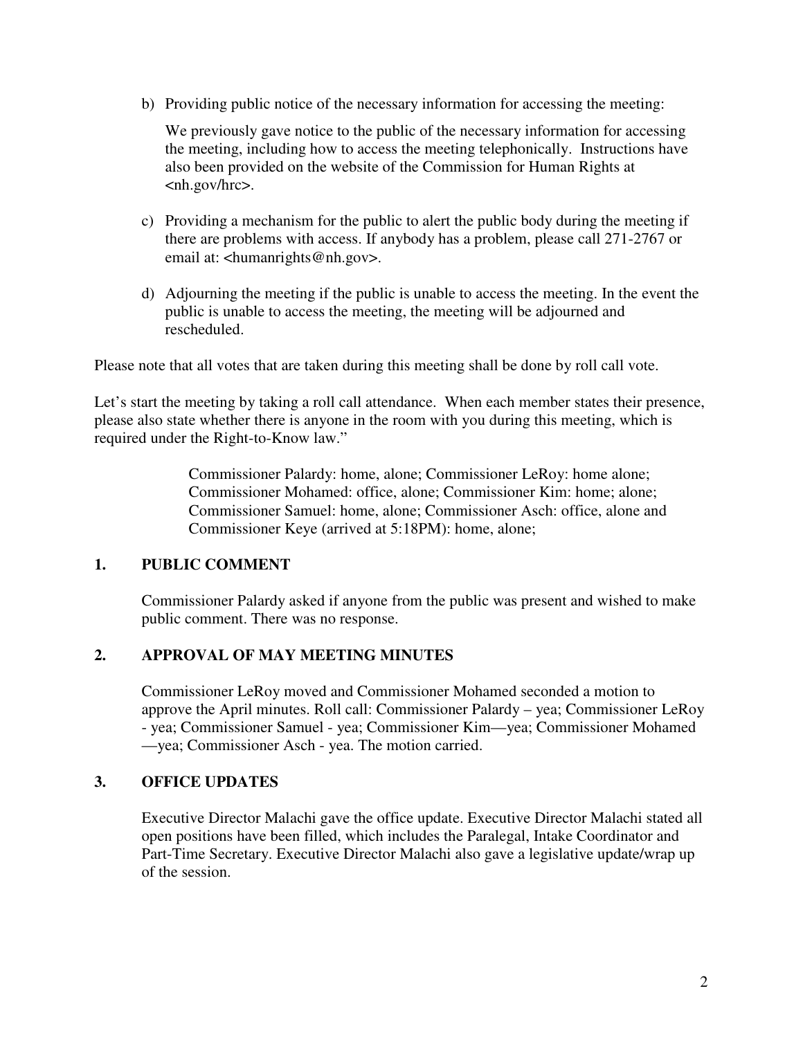b) Providing public notice of the necessary information for accessing the meeting:

We previously gave notice to the public of the necessary information for accessing the meeting, including how to access the meeting telephonically. Instructions have also been provided on the website of the Commission for Human Rights at <nh.gov/hrc>.

- c) Providing a mechanism for the public to alert the public body during the meeting if there are problems with access. If anybody has a problem, please call 271-2767 or email at: <humanrights@nh.gov>.
- d) Adjourning the meeting if the public is unable to access the meeting. In the event the public is unable to access the meeting, the meeting will be adjourned and rescheduled.

Please note that all votes that are taken during this meeting shall be done by roll call vote.

Let's start the meeting by taking a roll call attendance. When each member states their presence, please also state whether there is anyone in the room with you during this meeting, which is required under the Right-to-Know law."

> Commissioner Palardy: home, alone; Commissioner LeRoy: home alone; Commissioner Mohamed: office, alone; Commissioner Kim: home; alone; Commissioner Samuel: home, alone; Commissioner Asch: office, alone and Commissioner Keye (arrived at 5:18PM): home, alone;

#### **1. PUBLIC COMMENT**

Commissioner Palardy asked if anyone from the public was present and wished to make public comment. There was no response.

# **2. APPROVAL OF MAY MEETING MINUTES**

Commissioner LeRoy moved and Commissioner Mohamed seconded a motion to approve the April minutes. Roll call: Commissioner Palardy – yea; Commissioner LeRoy - yea; Commissioner Samuel - yea; Commissioner Kim—yea; Commissioner Mohamed —yea; Commissioner Asch - yea. The motion carried.

#### **3. OFFICE UPDATES**

Executive Director Malachi gave the office update. Executive Director Malachi stated all open positions have been filled, which includes the Paralegal, Intake Coordinator and Part-Time Secretary. Executive Director Malachi also gave a legislative update/wrap up of the session.